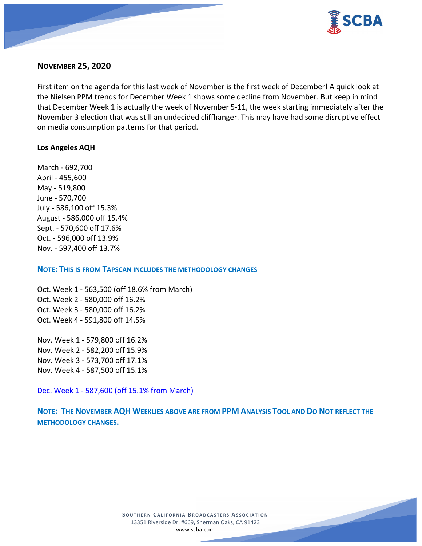

## **NOVEMBER 25, 2020**

First item on the agenda for this last week of November is the first week of December! A quick look at the Nielsen PPM trends for December Week 1 shows some decline from November. But keep in mind that December Week 1 is actually the week of November 5-11, the week starting immediately after the November 3 election that was still an undecided cliffhanger. This may have had some disruptive effect on media consumption patterns for that period.

#### **Los Angeles AQH**

March - 692,700 April - 455,600 May - 519,800 June - 570,700 July - 586,100 off 15.3% August - 586,000 off 15.4% Sept. - 570,600 off 17.6% Oct. - 596,000 off 13.9% Nov. - 597,400 off 13.7%

#### **NOTE: THIS IS FROM TAPSCAN INCLUDES THE METHODOLOGY CHANGES**

Oct. Week 1 - 563,500 (off 18.6% from March) Oct. Week 2 - 580,000 off 16.2% Oct. Week 3 - 580,000 off 16.2% Oct. Week 4 - 591,800 off 14.5%

Nov. Week 1 - 579,800 off 16.2% Nov. Week 2 - 582,200 off 15.9% Nov. Week 3 - 573,700 off 17.1% Nov. Week 4 - 587,500 off 15.1%

Dec. Week 1 - 587,600 (off 15.1% from March)

**NOTE: THE NOVEMBER AQH WEEKLIES ABOVE ARE FROM PPM ANALYSIS TOOL AND DO NOT REFLECT THE METHODOLOGY CHANGES.**

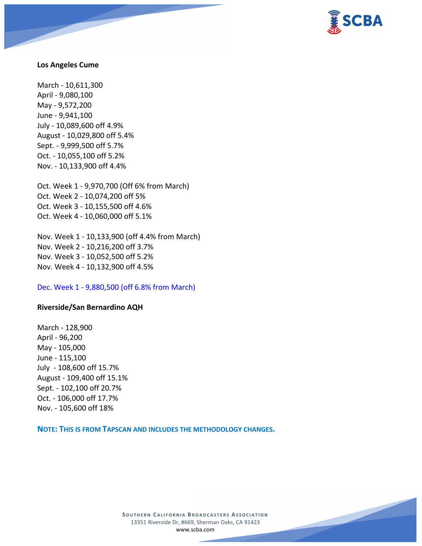

#### **Los Angeles Cume**

March - 10,611,300 April - 9,080,100 May - 9,572,200 June - 9,941,100 July - 10,089,600 off 4.9% August - 10,029,800 off 5.4% Sept. - 9,999,500 off 5.7% Oct. - 10,055,100 off 5.2% Nov. - 10,133,900 off 4.4%

Oct. Week 1 - 9,970,700 (Off 6% from March) Oct. Week 2 - 10,074,200 off 5% Oct. Week 3 - 10,155,500 off 4.6% Oct. Week 4 - 10,060,000 off 5.1%

Nov. Week 1 - 10,133,900 (off 4.4% from March) Nov. Week 2 - 10,216,200 off 3.7% Nov. Week 3 - 10,052,500 off 5.2% Nov. Week 4 - 10,132,900 off 4.5%

Dec. Week 1 - 9,880,500 (off 6.8% from March)

#### **Riverside/San Bernardino AQH**

March - 128,900 April - 96,200 May - 105,000 June - 115,100 July - 108,600 off 15.7% August - 109,400 off 15.1% Sept. - 102,100 off 20.7% Oct. - 106,000 off 17.7% Nov. - 105,600 off 18%

**NOTE: THIS IS FROM TAPSCAN AND INCLUDES THE METHODOLOGY CHANGES.** 

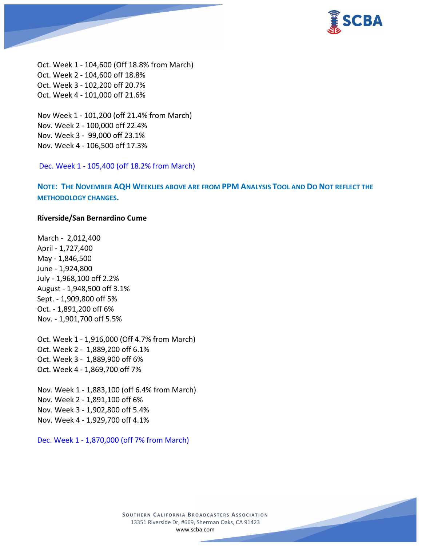

Oct. Week 1 - 104,600 (Off 18.8% from March) Oct. Week 2 - 104,600 off 18.8% Oct. Week 3 - 102,200 off 20.7% Oct. Week 4 - 101,000 off 21.6%

Nov Week 1 - 101,200 (off 21.4% from March) Nov. Week 2 - 100,000 off 22.4% Nov. Week 3 - 99,000 off 23.1% Nov. Week 4 - 106,500 off 17.3%

Dec. Week 1 - 105,400 (off 18.2% from March)

**NOTE: THE NOVEMBER AQH WEEKLIES ABOVE ARE FROM PPM ANALYSIS TOOL AND DO NOT REFLECT THE METHODOLOGY CHANGES.**

#### **Riverside/San Bernardino Cume**

March - 2,012,400 April - 1,727,400 May - 1,846,500 June - 1,924,800 July - 1,968,100 off 2.2% August - 1,948,500 off 3.1% Sept. - 1,909,800 off 5% Oct. - 1,891,200 off 6% Nov. - 1,901,700 off 5.5%

Oct. Week 1 - 1,916,000 (Off 4.7% from March) Oct. Week 2 - 1,889,200 off 6.1% Oct. Week 3 - 1,889,900 off 6% Oct. Week 4 - 1,869,700 off 7%

Nov. Week 1 - 1,883,100 (off 6.4% from March) Nov. Week 2 - 1,891,100 off 6% Nov. Week 3 - 1,902,800 off 5.4% Nov. Week 4 - 1,929,700 off 4.1%

Dec. Week 1 - 1,870,000 (off 7% from March)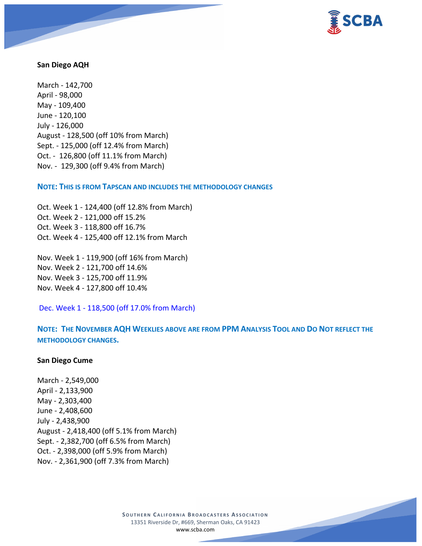

#### **San Diego AQH**

March - 142,700 April - 98,000 May - 109,400 June - 120,100 July - 126,000 August - 128,500 (off 10% from March) Sept. - 125,000 (off 12.4% from March) Oct. - 126,800 (off 11.1% from March) Nov. - 129,300 (off 9.4% from March)

**NOTE: THIS IS FROM TAPSCAN AND INCLUDES THE METHODOLOGY CHANGES** 

Oct. Week 1 - 124,400 (off 12.8% from March) Oct. Week 2 - 121,000 off 15.2% Oct. Week 3 - 118,800 off 16.7% Oct. Week 4 - 125,400 off 12.1% from March

Nov. Week 1 - 119,900 (off 16% from March) Nov. Week 2 - 121,700 off 14.6% Nov. Week 3 - 125,700 off 11.9% Nov. Week 4 - 127,800 off 10.4%

Dec. Week 1 - 118,500 (off 17.0% from March)

**NOTE: THE NOVEMBER AQH WEEKLIES ABOVE ARE FROM PPM ANALYSIS TOOL AND DO NOT REFLECT THE METHODOLOGY CHANGES.**

#### **San Diego Cume**

March - 2,549,000 April - 2,133,900 May - 2,303,400 June - 2,408,600 July - 2,438,900 August - 2,418,400 (off 5.1% from March) Sept. - 2,382,700 (off 6.5% from March) Oct. - 2,398,000 (off 5.9% from March) Nov. - 2,361,900 (off 7.3% from March)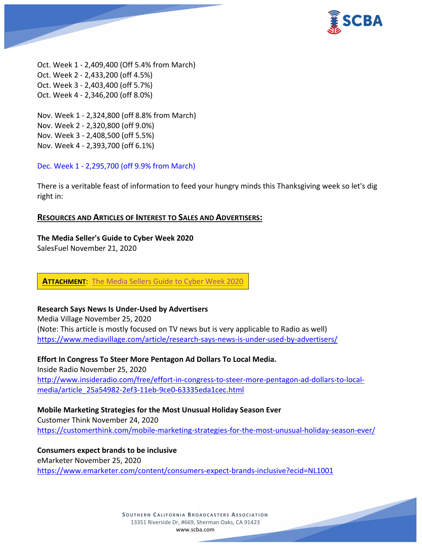

Oct. Week 1 - 2,409,400 (Off 5.4% from March) Oct. Week 2 - 2,433,200 (off 4.5%) Oct. Week 3 - 2,403,400 (off 5.7%) Oct. Week 4 - 2,346,200 (off 8.0%)

Nov. Week 1 - 2,324,800 (off 8.8% from March) Nov. Week 2 - 2,320,800 (off 9.0%) Nov. Week 3 - 2,408,500 (off 5.5%) Nov. Week 4 - 2,393,700 (off 6.1%)

Dec. Week 1 - 2,295,700 (off 9.9% from March)

There is a veritable feast of information to feed your hungry minds this Thanksgiving week so let's dig right in:

#### **RESOURCES AND ARTICLES OF INTEREST TO SALES AND ADVERTISERS:**

#### **The Media Seller's Guide to Cyber Week 2020**

SalesFuel November 21, 2020

**ATTACHMENT**: [The Media Sellers Guide to Cyber Week 2020](https://scba.com/salesforce-cyberweek-whitepaper-082120/)

#### **Research Says News Is Under-Used by Advertisers**

Media Village November 25, 2020 (Note: This article is mostly focused on TV news but is very applicable to Radio as well) <https://www.mediavillage.com/article/research-says-news-is-under-used-by-advertisers/>

**Effort In Congress To Steer More Pentagon Ad Dollars To Local Media.** Inside Radio November 25, 2020 [http://www.insideradio.com/free/effort-in-congress-to-steer-more-pentagon-ad-dollars-to-local](http://www.insideradio.com/free/effort-in-congress-to-steer-more-pentagon-ad-dollars-to-local-media/article_25a54982-2ef3-11eb-9ce0-63335eda1cec.html)[media/article\\_25a54982-2ef3-11eb-9ce0-63335eda1cec.html](http://www.insideradio.com/free/effort-in-congress-to-steer-more-pentagon-ad-dollars-to-local-media/article_25a54982-2ef3-11eb-9ce0-63335eda1cec.html)

#### **Mobile Marketing Strategies for the Most Unusual Holiday Season Ever**

Customer Think November 24, 2020 <https://customerthink.com/mobile-marketing-strategies-for-the-most-unusual-holiday-season-ever/>

**Consumers expect brands to be inclusive** eMarketer November 25, 2020 <https://www.emarketer.com/content/consumers-expect-brands-inclusive?ecid=NL1001>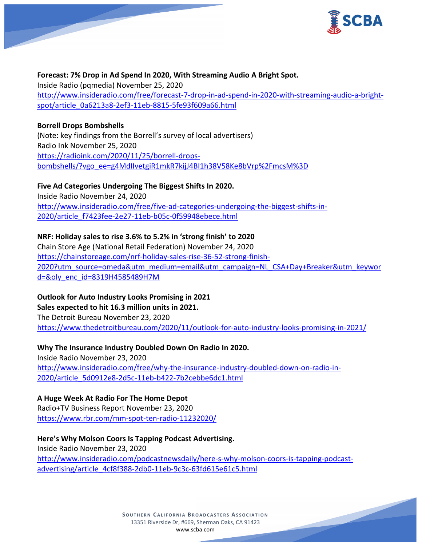

# **Forecast: 7% Drop in Ad Spend In 2020, With Streaming Audio A Bright Spot.**

Inside Radio (pqmedia) November 25, 2020 [http://www.insideradio.com/free/forecast-7-drop-in-ad-spend-in-2020-with-streaming-audio-a-bright](http://www.insideradio.com/free/forecast-7-drop-in-ad-spend-in-2020-with-streaming-audio-a-bright-spot/article_0a6213a8-2ef3-11eb-8815-5fe93f609a66.html)[spot/article\\_0a6213a8-2ef3-11eb-8815-5fe93f609a66.html](http://www.insideradio.com/free/forecast-7-drop-in-ad-spend-in-2020-with-streaming-audio-a-bright-spot/article_0a6213a8-2ef3-11eb-8815-5fe93f609a66.html)

## **Borrell Drops Bombshells** (Note: key findings from the Borrell's survey of local advertisers) Radio Ink November 25, 2020 [https://radioink.com/2020/11/25/borrell-drops](https://radioink.com/2020/11/25/borrell-drops-bombshells/?vgo_ee=g4MdIIvetgiR1mkR7kijJ4BI1h38V58Ke8bVrp%2FmcsM%3D)[bombshells/?vgo\\_ee=g4MdIIvetgiR1mkR7kijJ4BI1h38V58Ke8bVrp%2FmcsM%3D](https://radioink.com/2020/11/25/borrell-drops-bombshells/?vgo_ee=g4MdIIvetgiR1mkR7kijJ4BI1h38V58Ke8bVrp%2FmcsM%3D)

## **Five Ad Categories Undergoing The Biggest Shifts In 2020.**

Inside Radio November 24, 2020 [http://www.insideradio.com/free/five-ad-categories-undergoing-the-biggest-shifts-in-](http://www.insideradio.com/free/five-ad-categories-undergoing-the-biggest-shifts-in-2020/article_f7423fee-2e27-11eb-b05c-0f59948ebece.html)[2020/article\\_f7423fee-2e27-11eb-b05c-0f59948ebece.html](http://www.insideradio.com/free/five-ad-categories-undergoing-the-biggest-shifts-in-2020/article_f7423fee-2e27-11eb-b05c-0f59948ebece.html)

# **NRF: Holiday sales to rise 3.6% to 5.2% in 'strong finish' to 2020**

Chain Store Age (National Retail Federation) November 24, 2020 [https://chainstoreage.com/nrf-holiday-sales-rise-36-52-strong-finish-](https://chainstoreage.com/nrf-holiday-sales-rise-36-52-strong-finish-2020?utm_source=omeda&utm_medium=email&utm_campaign=NL_CSA+Day+Breaker&utm_keyword=&oly_enc_id=8319H4585489H7M)[2020?utm\\_source=omeda&utm\\_medium=email&utm\\_campaign=NL\\_CSA+Day+Breaker&utm\\_keywor](https://chainstoreage.com/nrf-holiday-sales-rise-36-52-strong-finish-2020?utm_source=omeda&utm_medium=email&utm_campaign=NL_CSA+Day+Breaker&utm_keyword=&oly_enc_id=8319H4585489H7M) [d=&oly\\_enc\\_id=8319H4585489H7M](https://chainstoreage.com/nrf-holiday-sales-rise-36-52-strong-finish-2020?utm_source=omeda&utm_medium=email&utm_campaign=NL_CSA+Day+Breaker&utm_keyword=&oly_enc_id=8319H4585489H7M)

# **Outlook for Auto Industry Looks Promising in 2021**

## **Sales expected to hit 16.3 million units in 2021.**

The Detroit Bureau November 23, 2020 <https://www.thedetroitbureau.com/2020/11/outlook-for-auto-industry-looks-promising-in-2021/>

## **Why The Insurance Industry Doubled Down On Radio In 2020.**

Inside Radio November 23, 2020 [http://www.insideradio.com/free/why-the-insurance-industry-doubled-down-on-radio-in-](http://www.insideradio.com/free/why-the-insurance-industry-doubled-down-on-radio-in-2020/article_5d0912e8-2d5c-11eb-b422-7b2cebbe6dc1.html)[2020/article\\_5d0912e8-2d5c-11eb-b422-7b2cebbe6dc1.html](http://www.insideradio.com/free/why-the-insurance-industry-doubled-down-on-radio-in-2020/article_5d0912e8-2d5c-11eb-b422-7b2cebbe6dc1.html)

# **A Huge Week At Radio For The Home Depot**

Radio+TV Business Report November 23, 2020 <https://www.rbr.com/mm-spot-ten-radio-11232020/>

## **Here's Why Molson Coors Is Tapping Podcast Advertising.** Inside Radio November 23, 2020 [http://www.insideradio.com/podcastnewsdaily/here-s-why-molson-coors-is-tapping-podcast](http://www.insideradio.com/podcastnewsdaily/here-s-why-molson-coors-is-tapping-podcast-advertising/article_4cf8f388-2db0-11eb-9c3c-63fd615e61c5.html)[advertising/article\\_4cf8f388-2db0-11eb-9c3c-63fd615e61c5.html](http://www.insideradio.com/podcastnewsdaily/here-s-why-molson-coors-is-tapping-podcast-advertising/article_4cf8f388-2db0-11eb-9c3c-63fd615e61c5.html)

**SOUTHERN CALIFORNIA BROADCASTERS ASSOCIATION** 13351 Riverside Dr, #669, Sherman Oaks, CA 91423 [www.scba.com](http://www.scba.com/)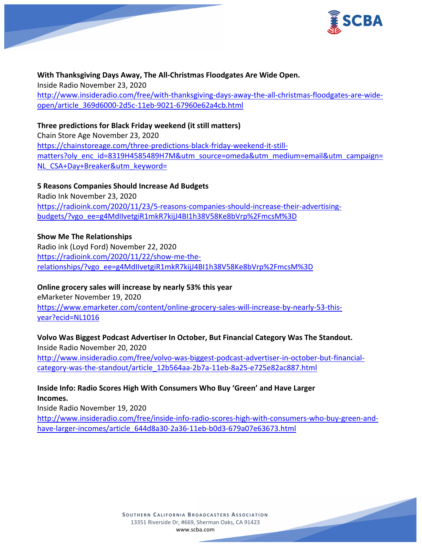

**With Thanksgiving Days Away, The All-Christmas Floodgates Are Wide Open.** Inside Radio November 23, 2020 [http://www.insideradio.com/free/with-thanksgiving-days-away-the-all-christmas-floodgates-are-wide](http://www.insideradio.com/free/with-thanksgiving-days-away-the-all-christmas-floodgates-are-wide-open/article_369d6000-2d5c-11eb-9021-67960e62a4cb.html)[open/article\\_369d6000-2d5c-11eb-9021-67960e62a4cb.html](http://www.insideradio.com/free/with-thanksgiving-days-away-the-all-christmas-floodgates-are-wide-open/article_369d6000-2d5c-11eb-9021-67960e62a4cb.html)

**Three predictions for Black Friday weekend (it still matters)**

Chain Store Age November 23, 2020 [https://chainstoreage.com/three-predictions-black-friday-weekend-it-still](https://chainstoreage.com/three-predictions-black-friday-weekend-it-still-matters?oly_enc_id=8319H4585489H7M&utm_source=omeda&utm_medium=email&utm_campaign=NL_CSA+Day+Breaker&utm_keyword=)[matters?oly\\_enc\\_id=8319H4585489H7M&utm\\_source=omeda&utm\\_medium=email&utm\\_campaign=](https://chainstoreage.com/three-predictions-black-friday-weekend-it-still-matters?oly_enc_id=8319H4585489H7M&utm_source=omeda&utm_medium=email&utm_campaign=NL_CSA+Day+Breaker&utm_keyword=) [NL\\_CSA+Day+Breaker&utm\\_keyword=](https://chainstoreage.com/three-predictions-black-friday-weekend-it-still-matters?oly_enc_id=8319H4585489H7M&utm_source=omeda&utm_medium=email&utm_campaign=NL_CSA+Day+Breaker&utm_keyword=)

**5 Reasons Companies Should Increase Ad Budgets**

Radio Ink November 23, 2020 [https://radioink.com/2020/11/23/5-reasons-companies-should-increase-their-advertising](https://radioink.com/2020/11/23/5-reasons-companies-should-increase-their-advertising-budgets/?vgo_ee=g4MdIIvetgiR1mkR7kijJ4BI1h38V58Ke8bVrp%2FmcsM%3D)[budgets/?vgo\\_ee=g4MdIIvetgiR1mkR7kijJ4BI1h38V58Ke8bVrp%2FmcsM%3D](https://radioink.com/2020/11/23/5-reasons-companies-should-increase-their-advertising-budgets/?vgo_ee=g4MdIIvetgiR1mkR7kijJ4BI1h38V58Ke8bVrp%2FmcsM%3D)

**Show Me The Relationships**

Radio ink (Loyd Ford) November 22, 2020 [https://radioink.com/2020/11/22/show-me-the](https://radioink.com/2020/11/22/show-me-the-relationships/?vgo_ee=g4MdIIvetgiR1mkR7kijJ4BI1h38V58Ke8bVrp%2FmcsM%3D)[relationships/?vgo\\_ee=g4MdIIvetgiR1mkR7kijJ4BI1h38V58Ke8bVrp%2FmcsM%3D](https://radioink.com/2020/11/22/show-me-the-relationships/?vgo_ee=g4MdIIvetgiR1mkR7kijJ4BI1h38V58Ke8bVrp%2FmcsM%3D)

## **Online grocery sales will increase by nearly 53% this year**

eMarketer November 19, 2020 [https://www.emarketer.com/content/online-grocery-sales-will-increase-by-nearly-53-this](https://www.emarketer.com/content/online-grocery-sales-will-increase-by-nearly-53-this-year?ecid=NL1016)[year?ecid=NL1016](https://www.emarketer.com/content/online-grocery-sales-will-increase-by-nearly-53-this-year?ecid=NL1016)

## **Volvo Was Biggest Podcast Advertiser In October, But Financial Category Was The Standout.**

Inside Radio November 20, 2020 [http://www.insideradio.com/free/volvo-was-biggest-podcast-advertiser-in-october-but-financial](http://www.insideradio.com/free/volvo-was-biggest-podcast-advertiser-in-october-but-financial-category-was-the-standout/article_12b564aa-2b7a-11eb-8a25-e725e82ac887.html)[category-was-the-standout/article\\_12b564aa-2b7a-11eb-8a25-e725e82ac887.html](http://www.insideradio.com/free/volvo-was-biggest-podcast-advertiser-in-october-but-financial-category-was-the-standout/article_12b564aa-2b7a-11eb-8a25-e725e82ac887.html)

## **Inside Info: Radio Scores High With Consumers Who Buy 'Green' and Have Larger Incomes.**

Inside Radio November 19, 2020 [http://www.insideradio.com/free/inside-info-radio-scores-high-with-consumers-who-buy-green-and](http://www.insideradio.com/free/inside-info-radio-scores-high-with-consumers-who-buy-green-and-have-larger-incomes/article_644d8a30-2a36-11eb-b0d3-679a07e63673.html)[have-larger-incomes/article\\_644d8a30-2a36-11eb-b0d3-679a07e63673.html](http://www.insideradio.com/free/inside-info-radio-scores-high-with-consumers-who-buy-green-and-have-larger-incomes/article_644d8a30-2a36-11eb-b0d3-679a07e63673.html)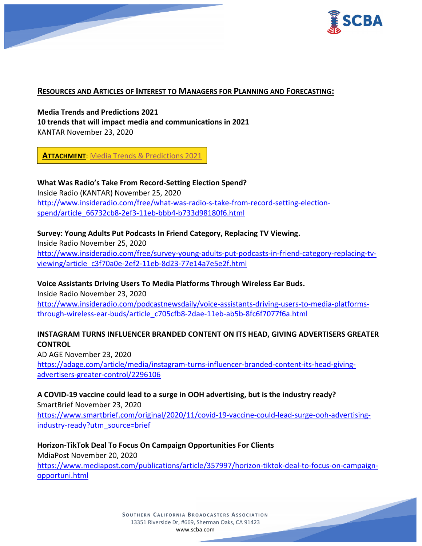

#### **RESOURCES AND ARTICLES OF INTEREST TO MANAGERS FOR PLANNING AND FORECASTING:**

**Media Trends and Predictions 2021 10 trends that will impact media and communications in 2021** KANTAR November 23, 2020

**ATTACHMENT**: Media Trends & [Predictions 2021](https://scba.com/media-trends-predictions-2021-final/)

**What Was Radio's Take From Record-Setting Election Spend?** Inside Radio (KANTAR) November 25, 2020 [http://www.insideradio.com/free/what-was-radio-s-take-from-record-setting-election](http://www.insideradio.com/free/what-was-radio-s-take-from-record-setting-election-spend/article_66732cb8-2ef3-11eb-bbb4-b733d98180f6.html)[spend/article\\_66732cb8-2ef3-11eb-bbb4-b733d98180f6.html](http://www.insideradio.com/free/what-was-radio-s-take-from-record-setting-election-spend/article_66732cb8-2ef3-11eb-bbb4-b733d98180f6.html)

#### **Survey: Young Adults Put Podcasts In Friend Category, Replacing TV Viewing.**

Inside Radio November 25, 2020 [http://www.insideradio.com/free/survey-young-adults-put-podcasts-in-friend-category-replacing-tv](http://www.insideradio.com/free/survey-young-adults-put-podcasts-in-friend-category-replacing-tv-viewing/article_c3f70a0e-2ef2-11eb-8d23-77e14a7e5e2f.html)[viewing/article\\_c3f70a0e-2ef2-11eb-8d23-77e14a7e5e2f.html](http://www.insideradio.com/free/survey-young-adults-put-podcasts-in-friend-category-replacing-tv-viewing/article_c3f70a0e-2ef2-11eb-8d23-77e14a7e5e2f.html)

**Voice Assistants Driving Users To Media Platforms Through Wireless Ear Buds.**

Inside Radio November 23, 2020 [http://www.insideradio.com/podcastnewsdaily/voice-assistants-driving-users-to-media-platforms](http://www.insideradio.com/podcastnewsdaily/voice-assistants-driving-users-to-media-platforms-through-wireless-ear-buds/article_c705cfb8-2dae-11eb-ab5b-8fc6f7077f6a.html)[through-wireless-ear-buds/article\\_c705cfb8-2dae-11eb-ab5b-8fc6f7077f6a.html](http://www.insideradio.com/podcastnewsdaily/voice-assistants-driving-users-to-media-platforms-through-wireless-ear-buds/article_c705cfb8-2dae-11eb-ab5b-8fc6f7077f6a.html)

#### **INSTAGRAM TURNS INFLUENCER BRANDED CONTENT ON ITS HEAD, GIVING ADVERTISERS GREATER CONTROL**

AD AGE November 23, 2020 [https://adage.com/article/media/instagram-turns-influencer-branded-content-its-head-giving](https://adage.com/article/media/instagram-turns-influencer-branded-content-its-head-giving-advertisers-greater-control/2296106)[advertisers-greater-control/2296106](https://adage.com/article/media/instagram-turns-influencer-branded-content-its-head-giving-advertisers-greater-control/2296106)

# **A COVID-19 vaccine could lead to a surge in OOH advertising, but is the industry ready?**

SmartBrief November 23, 2020 [https://www.smartbrief.com/original/2020/11/covid-19-vaccine-could-lead-surge-ooh-advertising](https://www.smartbrief.com/original/2020/11/covid-19-vaccine-could-lead-surge-ooh-advertising-industry-ready?utm_source=brief)[industry-ready?utm\\_source=brief](https://www.smartbrief.com/original/2020/11/covid-19-vaccine-could-lead-surge-ooh-advertising-industry-ready?utm_source=brief)

**Horizon-TikTok Deal To Focus On Campaign Opportunities For Clients**

MdiaPost November 20, 2020 [https://www.mediapost.com/publications/article/357997/horizon-tiktok-deal-to-focus-on-campaign](https://www.mediapost.com/publications/article/357997/horizon-tiktok-deal-to-focus-on-campaign-opportuni.html)[opportuni.html](https://www.mediapost.com/publications/article/357997/horizon-tiktok-deal-to-focus-on-campaign-opportuni.html)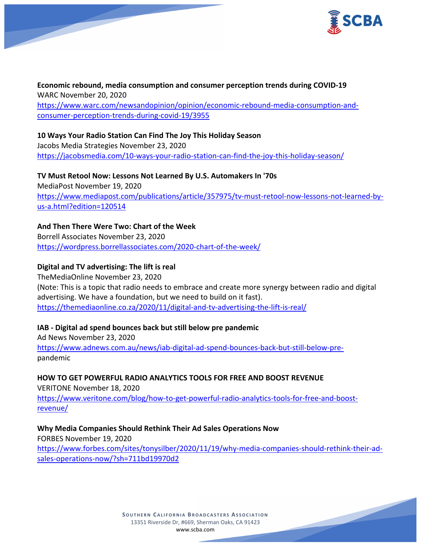

**Economic rebound, media consumption and consumer perception trends during COVID-19** WARC November 20, 2020 [https://www.warc.com/newsandopinion/opinion/economic-rebound-media-consumption-and](https://www.warc.com/newsandopinion/opinion/economic-rebound-media-consumption-and-consumer-perception-trends-during-covid-19/3955)[consumer-perception-trends-during-covid-19/3955](https://www.warc.com/newsandopinion/opinion/economic-rebound-media-consumption-and-consumer-perception-trends-during-covid-19/3955)

**10 Ways Your Radio Station Can Find The Joy This Holiday Season** Jacobs Media Strategies November 23, 2020

<https://jacobsmedia.com/10-ways-your-radio-station-can-find-the-joy-this-holiday-season/>

**TV Must Retool Now: Lessons Not Learned By U.S. Automakers In '70s** MediaPost November 19, 2020 [https://www.mediapost.com/publications/article/357975/tv-must-retool-now-lessons-not-learned-by](https://www.mediapost.com/publications/article/357975/tv-must-retool-now-lessons-not-learned-by-us-a.html?edition=120514)[us-a.html?edition=120514](https://www.mediapost.com/publications/article/357975/tv-must-retool-now-lessons-not-learned-by-us-a.html?edition=120514)

## **And Then There Were Two: Chart of the Week**

Borrell Associates November 23, 2020 <https://wordpress.borrellassociates.com/2020-chart-of-the-week/>

## **Digital and TV advertising: The lift is real**

TheMediaOnline November 23, 2020 (Note: This is a topic that radio needs to embrace and create more synergy between radio and digital advertising. We have a foundation, but we need to build on it fast). <https://themediaonline.co.za/2020/11/digital-and-tv-advertising-the-lift-is-real/>

## **IAB - Digital ad spend bounces back but still below pre pandemic**

Ad News November 23, 2020 [https://www.adnews.com.au/news/iab-digital-ad-spend-bounces-back-but-still-below-pre](https://www.adnews.com.au/news/iab-digital-ad-spend-bounces-back-but-still-below-pre-)pandemic

**HOW TO GET POWERFUL RADIO ANALYTICS TOOLS FOR FREE AND BOOST REVENUE**

VERITONE November 18, 2020 [https://www.veritone.com/blog/how-to-get-powerful-radio-analytics-tools-for-free-and-boost](https://www.veritone.com/blog/how-to-get-powerful-radio-analytics-tools-for-free-and-boost-revenue/)[revenue/](https://www.veritone.com/blog/how-to-get-powerful-radio-analytics-tools-for-free-and-boost-revenue/)

**Why Media Companies Should Rethink Their Ad Sales Operations Now** FORBES November 19, 2020 [https://www.forbes.com/sites/tonysilber/2020/11/19/why-media-companies-should-rethink-their-ad](https://www.forbes.com/sites/tonysilber/2020/11/19/why-media-companies-should-rethink-their-ad-sales-operations-now/?sh=711bd19970d2)[sales-operations-now/?sh=711bd19970d2](https://www.forbes.com/sites/tonysilber/2020/11/19/why-media-companies-should-rethink-their-ad-sales-operations-now/?sh=711bd19970d2)